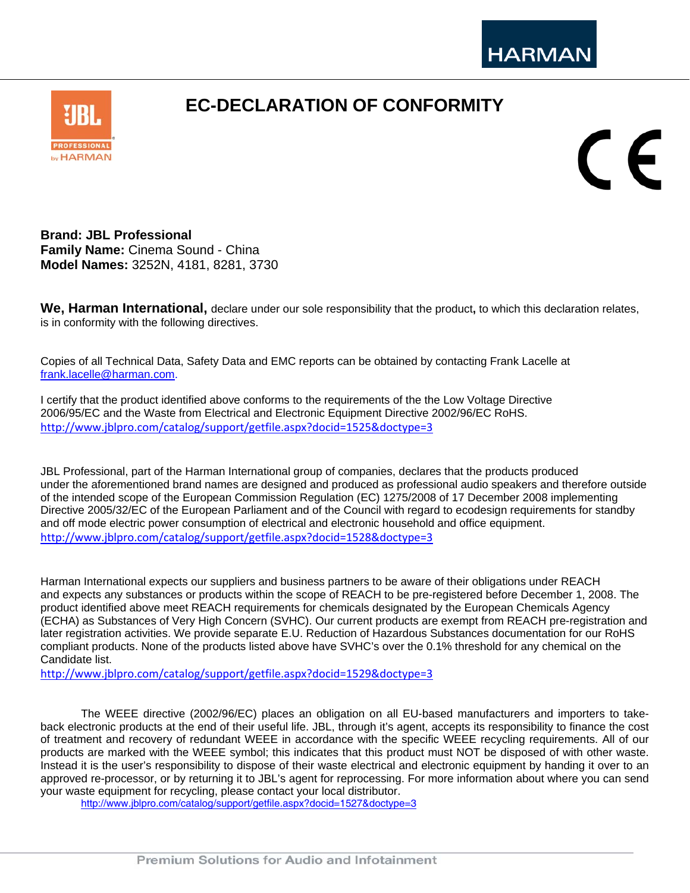

## **EC-DECLARATION OF CONFORMITY**



CE

**Brand: JBL Professional Family Name:** Cinema Sound - China **Model Names:** 3252N, 4181, 8281, 3730

**We, Harman International,** declare under our sole responsibility that the product**,** to which this declaration relates, is in conformity with the following directives.

Copies of all Technical Data, Safety Data and EMC reports can be obtained by contacting Frank Lacelle at frank.lacelle@harman.com.

I certify that the product identified above conforms to the requirements of the the Low Voltage Directive 2006/95/EC and the Waste from Electrical and Electronic Equipment Directive 2002/96/EC RoHS. http://www.jblpro.com/catalog/support/getfile.aspx?docid=1525&doctype=3

JBL Professional, part of the Harman International group of companies, declares that the products produced under the aforementioned brand names are designed and produced as professional audio speakers and therefore outside of the intended scope of the European Commission Regulation (EC) 1275/2008 of 17 December 2008 implementing Directive 2005/32/EC of the European Parliament and of the Council with regard to ecodesign requirements for standby and off mode electric power consumption of electrical and electronic household and office equipment. http://www.jblpro.com/catalog/support/getfile.aspx?docid=1528&doctype=3

Harman International expects our suppliers and business partners to be aware of their obligations under REACH and expects any substances or products within the scope of REACH to be pre-registered before December 1, 2008. The product identified above meet REACH requirements for chemicals designated by the European Chemicals Agency (ECHA) as Substances of Very High Concern (SVHC). Our current products are exempt from REACH pre-registration and later registration activities. We provide separate E.U. Reduction of Hazardous Substances documentation for our RoHS compliant products. None of the products listed above have SVHC's over the 0.1% threshold for any chemical on the Candidate list.

http://www.jblpro.com/catalog/support/getfile.aspx?docid=1529&doctype=3

The WEEE directive (2002/96/EC) places an obligation on all EU-based manufacturers and importers to takeback electronic products at the end of their useful life. JBL, through it's agent, accepts its responsibility to finance the cost of treatment and recovery of redundant WEEE in accordance with the specific WEEE recycling requirements. All of our products are marked with the WEEE symbol; this indicates that this product must NOT be disposed of with other waste. Instead it is the user's responsibility to dispose of their waste electrical and electronic equipment by handing it over to an approved re-processor, or by returning it to JBL's agent for reprocessing. For more information about where you can send your waste equipment for recycling, please contact your local distributor.

http://www.jblpro.com/catalog/support/getfile.aspx?docid=1527&doctype=3